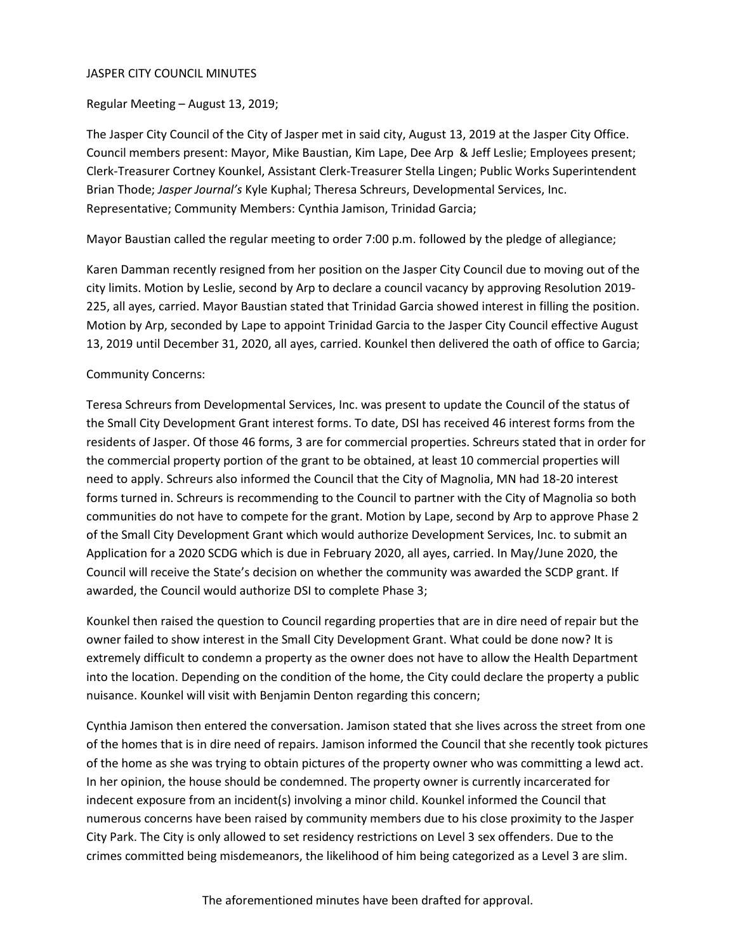#### JASPER CITY COUNCIL MINUTES

Regular Meeting – August 13, 2019;

The Jasper City Council of the City of Jasper met in said city, August 13, 2019 at the Jasper City Office. Council members present: Mayor, Mike Baustian, Kim Lape, Dee Arp & Jeff Leslie; Employees present; Clerk-Treasurer Cortney Kounkel, Assistant Clerk-Treasurer Stella Lingen; Public Works Superintendent Brian Thode; *Jasper Journal's* Kyle Kuphal; Theresa Schreurs, Developmental Services, Inc. Representative; Community Members: Cynthia Jamison, Trinidad Garcia;

Mayor Baustian called the regular meeting to order 7:00 p.m. followed by the pledge of allegiance;

Karen Damman recently resigned from her position on the Jasper City Council due to moving out of the city limits. Motion by Leslie, second by Arp to declare a council vacancy by approving Resolution 2019- 225, all ayes, carried. Mayor Baustian stated that Trinidad Garcia showed interest in filling the position. Motion by Arp, seconded by Lape to appoint Trinidad Garcia to the Jasper City Council effective August 13, 2019 until December 31, 2020, all ayes, carried. Kounkel then delivered the oath of office to Garcia;

### Community Concerns:

Teresa Schreurs from Developmental Services, Inc. was present to update the Council of the status of the Small City Development Grant interest forms. To date, DSI has received 46 interest forms from the residents of Jasper. Of those 46 forms, 3 are for commercial properties. Schreurs stated that in order for the commercial property portion of the grant to be obtained, at least 10 commercial properties will need to apply. Schreurs also informed the Council that the City of Magnolia, MN had 18-20 interest forms turned in. Schreurs is recommending to the Council to partner with the City of Magnolia so both communities do not have to compete for the grant. Motion by Lape, second by Arp to approve Phase 2 of the Small City Development Grant which would authorize Development Services, Inc. to submit an Application for a 2020 SCDG which is due in February 2020, all ayes, carried. In May/June 2020, the Council will receive the State's decision on whether the community was awarded the SCDP grant. If awarded, the Council would authorize DSI to complete Phase 3;

Kounkel then raised the question to Council regarding properties that are in dire need of repair but the owner failed to show interest in the Small City Development Grant. What could be done now? It is extremely difficult to condemn a property as the owner does not have to allow the Health Department into the location. Depending on the condition of the home, the City could declare the property a public nuisance. Kounkel will visit with Benjamin Denton regarding this concern;

Cynthia Jamison then entered the conversation. Jamison stated that she lives across the street from one of the homes that is in dire need of repairs. Jamison informed the Council that she recently took pictures of the home as she was trying to obtain pictures of the property owner who was committing a lewd act. In her opinion, the house should be condemned. The property owner is currently incarcerated for indecent exposure from an incident(s) involving a minor child. Kounkel informed the Council that numerous concerns have been raised by community members due to his close proximity to the Jasper City Park. The City is only allowed to set residency restrictions on Level 3 sex offenders. Due to the crimes committed being misdemeanors, the likelihood of him being categorized as a Level 3 are slim.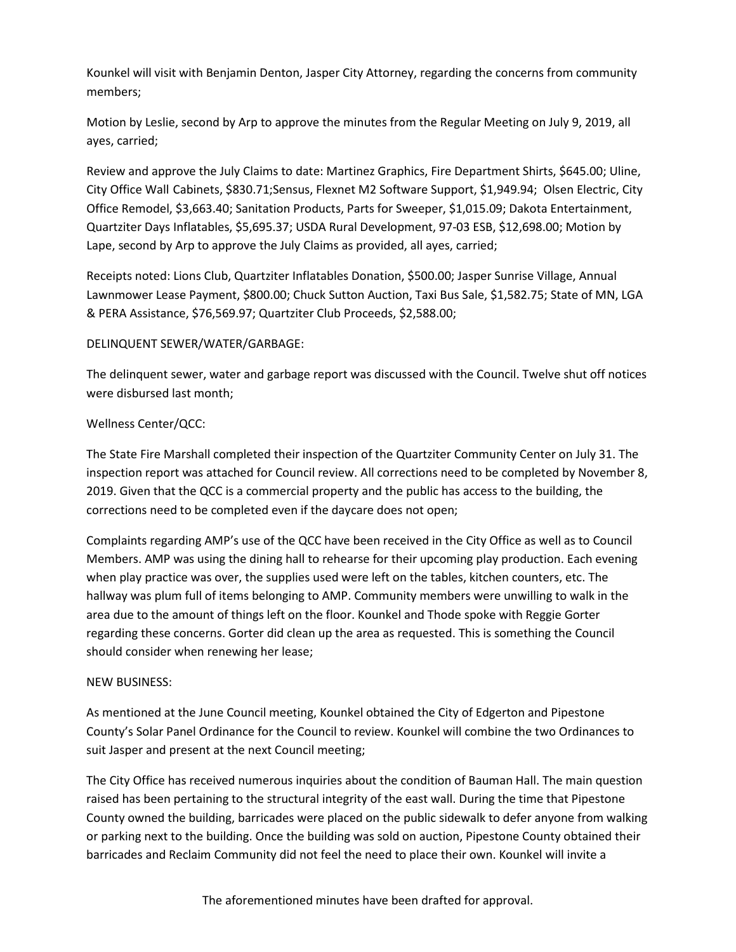Kounkel will visit with Benjamin Denton, Jasper City Attorney, regarding the concerns from community members;

Motion by Leslie, second by Arp to approve the minutes from the Regular Meeting on July 9, 2019, all ayes, carried;

Review and approve the July Claims to date: Martinez Graphics, Fire Department Shirts, \$645.00; Uline, City Office Wall Cabinets, \$830.71;Sensus, Flexnet M2 Software Support, \$1,949.94; Olsen Electric, City Office Remodel, \$3,663.40; Sanitation Products, Parts for Sweeper, \$1,015.09; Dakota Entertainment, Quartziter Days Inflatables, \$5,695.37; USDA Rural Development, 97-03 ESB, \$12,698.00; Motion by Lape, second by Arp to approve the July Claims as provided, all ayes, carried;

Receipts noted: Lions Club, Quartziter Inflatables Donation, \$500.00; Jasper Sunrise Village, Annual Lawnmower Lease Payment, \$800.00; Chuck Sutton Auction, Taxi Bus Sale, \$1,582.75; State of MN, LGA & PERA Assistance, \$76,569.97; Quartziter Club Proceeds, \$2,588.00;

### DELINQUENT SEWER/WATER/GARBAGE:

The delinquent sewer, water and garbage report was discussed with the Council. Twelve shut off notices were disbursed last month;

## Wellness Center/QCC:

The State Fire Marshall completed their inspection of the Quartziter Community Center on July 31. The inspection report was attached for Council review. All corrections need to be completed by November 8, 2019. Given that the QCC is a commercial property and the public has access to the building, the corrections need to be completed even if the daycare does not open;

Complaints regarding AMP's use of the QCC have been received in the City Office as well as to Council Members. AMP was using the dining hall to rehearse for their upcoming play production. Each evening when play practice was over, the supplies used were left on the tables, kitchen counters, etc. The hallway was plum full of items belonging to AMP. Community members were unwilling to walk in the area due to the amount of things left on the floor. Kounkel and Thode spoke with Reggie Gorter regarding these concerns. Gorter did clean up the area as requested. This is something the Council should consider when renewing her lease;

### NEW BUSINESS:

As mentioned at the June Council meeting, Kounkel obtained the City of Edgerton and Pipestone County's Solar Panel Ordinance for the Council to review. Kounkel will combine the two Ordinances to suit Jasper and present at the next Council meeting;

The City Office has received numerous inquiries about the condition of Bauman Hall. The main question raised has been pertaining to the structural integrity of the east wall. During the time that Pipestone County owned the building, barricades were placed on the public sidewalk to defer anyone from walking or parking next to the building. Once the building was sold on auction, Pipestone County obtained their barricades and Reclaim Community did not feel the need to place their own. Kounkel will invite a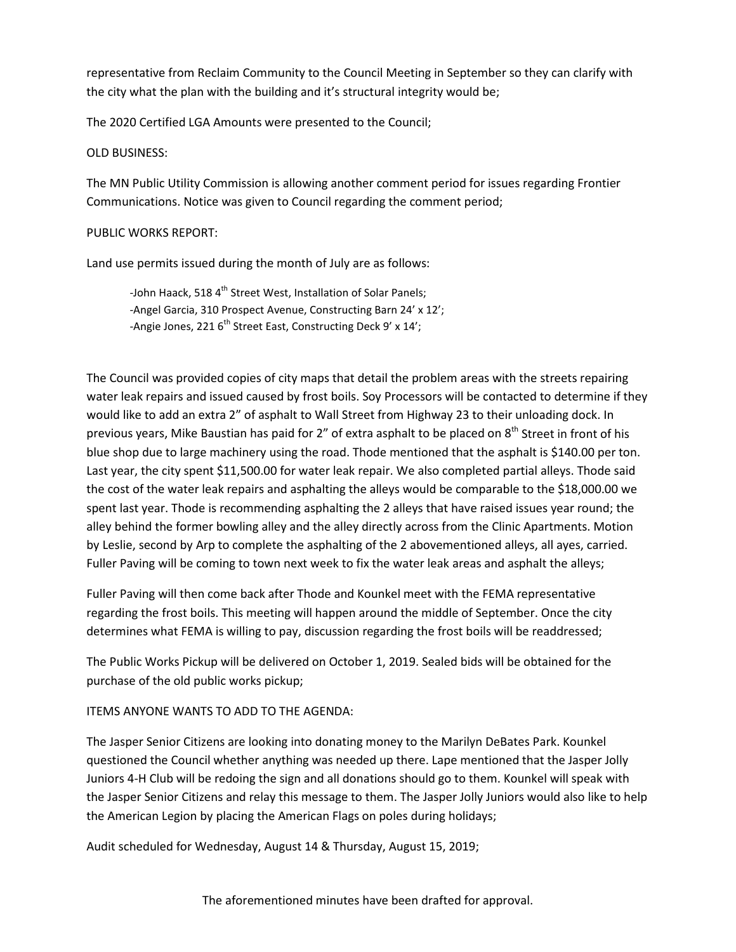representative from Reclaim Community to the Council Meeting in September so they can clarify with the city what the plan with the building and it's structural integrity would be;

The 2020 Certified LGA Amounts were presented to the Council;

### OLD BUSINESS:

The MN Public Utility Commission is allowing another comment period for issues regarding Frontier Communications. Notice was given to Council regarding the comment period;

### PUBLIC WORKS REPORT:

Land use permits issued during the month of July are as follows:

-John Haack, 518 4<sup>th</sup> Street West, Installation of Solar Panels; -Angel Garcia, 310 Prospect Avenue, Constructing Barn 24' x 12'; -Angie Jones, 221 6<sup>th</sup> Street East, Constructing Deck 9' x 14';

The Council was provided copies of city maps that detail the problem areas with the streets repairing water leak repairs and issued caused by frost boils. Soy Processors will be contacted to determine if they would like to add an extra 2" of asphalt to Wall Street from Highway 23 to their unloading dock. In previous years, Mike Baustian has paid for 2" of extra asphalt to be placed on 8<sup>th</sup> Street in front of his blue shop due to large machinery using the road. Thode mentioned that the asphalt is \$140.00 per ton. Last year, the city spent \$11,500.00 for water leak repair. We also completed partial alleys. Thode said the cost of the water leak repairs and asphalting the alleys would be comparable to the \$18,000.00 we spent last year. Thode is recommending asphalting the 2 alleys that have raised issues year round; the alley behind the former bowling alley and the alley directly across from the Clinic Apartments. Motion by Leslie, second by Arp to complete the asphalting of the 2 abovementioned alleys, all ayes, carried. Fuller Paving will be coming to town next week to fix the water leak areas and asphalt the alleys;

Fuller Paving will then come back after Thode and Kounkel meet with the FEMA representative regarding the frost boils. This meeting will happen around the middle of September. Once the city determines what FEMA is willing to pay, discussion regarding the frost boils will be readdressed;

The Public Works Pickup will be delivered on October 1, 2019. Sealed bids will be obtained for the purchase of the old public works pickup;

# ITEMS ANYONE WANTS TO ADD TO THE AGENDA:

The Jasper Senior Citizens are looking into donating money to the Marilyn DeBates Park. Kounkel questioned the Council whether anything was needed up there. Lape mentioned that the Jasper Jolly Juniors 4-H Club will be redoing the sign and all donations should go to them. Kounkel will speak with the Jasper Senior Citizens and relay this message to them. The Jasper Jolly Juniors would also like to help the American Legion by placing the American Flags on poles during holidays;

Audit scheduled for Wednesday, August 14 & Thursday, August 15, 2019;